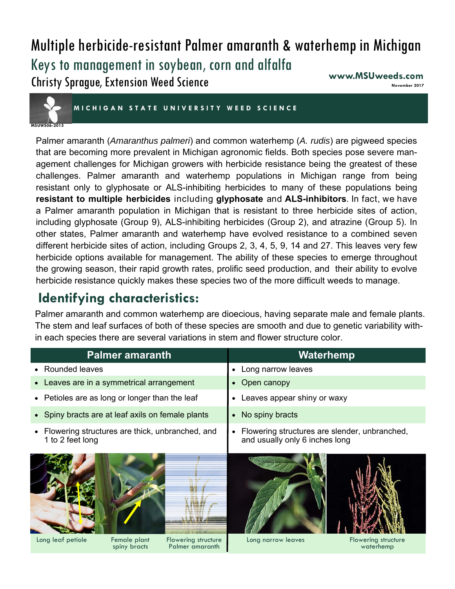## Multiple herbicide-resistant Palmer amaranth & waterhemp in Michigan Keys to management in soybean, corn and alfalfa Christy Sprague, Extension Weed Science ww.MSUweeds.com <sub>November</sub>



**MICHIGAN STATE UNIVER SITY WEED SCIENCE** 

Palmer amaranth (*Amaranthus palmeri*) and common waterhemp (*A. rudis*) are pigweed species that are becoming more prevalent in Michigan agronomic fields. Both species pose severe management challenges for Michigan growers with herbicide resistance being the greatest of these challenges. Palmer amaranth and waterhemp populations in Michigan range from being resistant only to glyphosate or ALS-inhibiting herbicides to many of these populations being **resistant to multiple herbicides** including **glyphosate** and **ALS-inhibitors**. In fact, we have a Palmer amaranth population in Michigan that is resistant to three herbicide sites of action, including glyphosate (Group 9), ALS-inhibiting herbicides (Group 2), and atrazine (Group 5). In other states, Palmer amaranth and waterhemp have evolved resistance to a combined seven different herbicide sites of action, including Groups 2, 3, 4, 5, 9, 14 and 27. This leaves very few herbicide options available for management. The ability of these species to emerge throughout the growing season, their rapid growth rates, prolific seed production, and their ability to evolve herbicide resistance quickly makes these species two of the more difficult weeds to manage.

# **Identifying characteristics:**

Palmer amaranth and common waterhemp are dioecious, having separate male and female plants. The stem and leaf surfaces of both of these species are smooth and due to genetic variability within each species there are several variations in stem and flower structure color.

| <b>Palmer amaranth</b>                                                | Waterhemp                                                                                    |  |  |
|-----------------------------------------------------------------------|----------------------------------------------------------------------------------------------|--|--|
| • Rounded leaves                                                      | Long narrow leaves<br>$\bullet$                                                              |  |  |
| • Leaves are in a symmetrical arrangement                             | Open canopy<br>$\bullet$                                                                     |  |  |
| • Petioles are as long or longer than the leaf                        | Leaves appear shiny or waxy<br>$\bullet$                                                     |  |  |
| • Spiny bracts are at leaf axils on female plants                     | No spiny bracts<br>$\bullet$                                                                 |  |  |
| • Flowering structures are thick, unbranched, and<br>1 to 2 feet long | Flowering structures are slender, unbranched,<br>$\bullet$<br>and usually only 6 inches long |  |  |
| Long leaf petiole<br>Female plant<br>Flowering structure              | Long narrow leaves<br>Flowering structure                                                    |  |  |
| Palmer amaranth<br>spiny bracts                                       | waterhemp                                                                                    |  |  |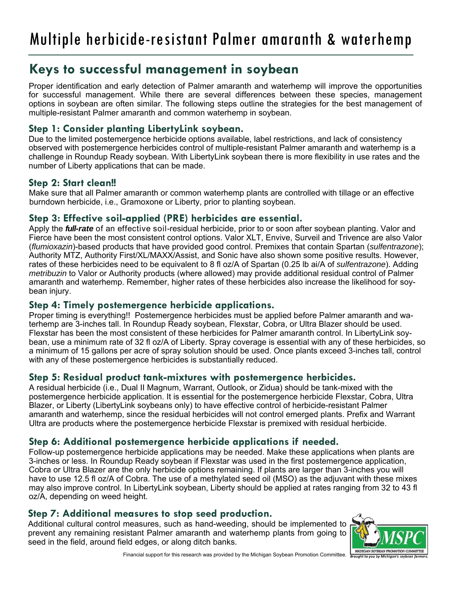## **Keys to successful management in soybean**

Proper identification and early detection of Palmer amaranth and waterhemp will improve the opportunities for successful management. While there are several differences between these species, management options in soybean are often similar. The following steps outline the strategies for the best management of multiple-resistant Palmer amaranth and common waterhemp in soybean.

## **Step 1: Consider planting LibertyLink soybean.**

Due to the limited postemergence herbicide options available, label restrictions, and lack of consistency observed with postemergence herbicides control of multiple-resistant Palmer amaranth and waterhemp is a challenge in Roundup Ready soybean. With LibertyLink soybean there is more flexibility in use rates and the number of Liberty applications that can be made.

### **Step 2: Start clean!!**

Make sure that all Palmer amaranth or common waterhemp plants are controlled with tillage or an effective burndown herbicide, i.e., Gramoxone or Liberty, prior to planting soybean.

### **Step 3: Effective soil-applied (PRE) herbicides are essential.**

Apply the *full-rate* of an effective soil-residual herbicide, prior to or soon after soybean planting. Valor and Fierce have been the most consistent control options. Valor XLT, Envive, Surveil and Trivence are also Valor (*flumioxazin*)-based products that have provided good control. Premixes that contain Spartan (*sulfentrazone*); Authority MTZ, Authority First/XL/MAXX/Assist, and Sonic have also shown some positive results. However, rates of these herbicides need to be equivalent to 8 fl oz/A of Spartan (0.25 lb ai/A of *sulfentrazone*). Adding *metribuzin* to Valor or Authority products (where allowed) may provide additional residual control of Palmer amaranth and waterhemp. Remember, higher rates of these herbicides also increase the likelihood for soybean injury.

### **Step 4: Timely postemergence herbicide applications.**

Proper timing is everything!! Postemergence herbicides must be applied before Palmer amaranth and waterhemp are 3-inches tall. In Roundup Ready soybean, Flexstar, Cobra, or Ultra Blazer should be used. Flexstar has been the most consistent of these herbicides for Palmer amaranth control. In LibertyLink soybean, use a minimum rate of 32 fl oz/A of Liberty. Spray coverage is essential with any of these herbicides, so a minimum of 15 gallons per acre of spray solution should be used. Once plants exceed 3-inches tall, control with any of these postemergence herbicides is substantially reduced.

### **Step 5: Residual product tank-mixtures with postemergence herbicides.**

A residual herbicide (i.e., Dual II Magnum, Warrant, Outlook, or Zidua) should be tank-mixed with the postemergence herbicide application. It is essential for the postemergence herbicide Flexstar, Cobra, Ultra Blazer, or Liberty (LibertyLink soybeans only) to have effective control of herbicide-resistant Palmer amaranth and waterhemp, since the residual herbicides will not control emerged plants. Prefix and Warrant Ultra are products where the postemergence herbicide Flexstar is premixed with residual herbicide.

## **Step 6: Additional postemergence herbicide applications if needed.**

Follow-up postemergence herbicide applications may be needed. Make these applications when plants are 3-inches or less. In Roundup Ready soybean if Flexstar was used in the first postemergence application, Cobra or Ultra Blazer are the only herbicide options remaining. If plants are larger than 3-inches you will have to use 12.5 fl oz/A of Cobra. The use of a methylated seed oil (MSO) as the adjuvant with these mixes may also improve control. In LibertyLink soybean, Liberty should be applied at rates ranging from 32 to 43 fl oz/A, depending on weed height.

### **Step 7: Additional measures to stop seed production.**

Additional cultural control measures, such as hand-weeding, should be implemented to prevent any remaining resistant Palmer amaranth and waterhemp plants from going to seed in the field, around field edges, or along ditch banks.



Financial support for this research was provided by the Michigan Soybean Promotion Committee. **Frought to you by**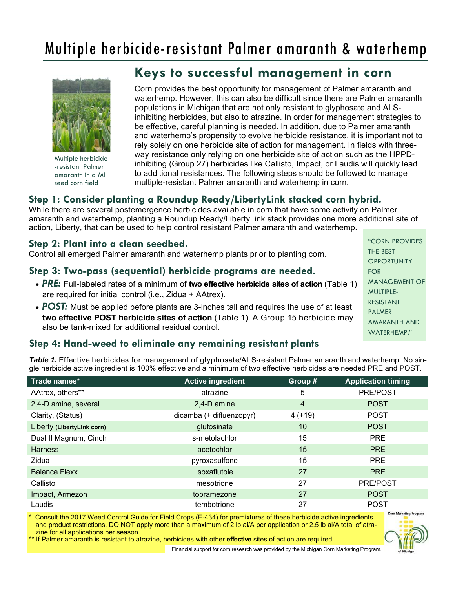# Multiple herbicide-resistant Palmer amaranth & waterhemp



Multiple herbicide -resistant Palmer amaranth in a MI seed corn field

## **Keys to successful management in corn**

Corn provides the best opportunity for management of Palmer amaranth and waterhemp. However, this can also be difficult since there are Palmer amaranth populations in Michigan that are not only resistant to glyphosate and ALSinhibiting herbicides, but also to atrazine. In order for management strategies to be effective, careful planning is needed. In addition, due to Palmer amaranth and waterhemp's propensity to evolve herbicide resistance, it is important not to rely solely on one herbicide site of action for management. In fields with threeway resistance only relying on one herbicide site of action such as the HPPDinhibiting (Group 27) herbicides like Callisto, Impact, or Laudis will quickly lead to additional resistances. The following steps should be followed to manage multiple-resistant Palmer amaranth and waterhemp in corn.

### **Step 1: Consider planting a Roundup Ready/LibertyLink stacked corn hybrid.**

While there are several postemergence herbicides available in corn that have some activity on Palmer amaranth and waterhemp, planting a Roundup Ready/LibertyLink stack provides one more additional site of action, Liberty, that can be used to help control resistant Palmer amaranth and waterhemp.

#### **Step 2: Plant into a clean seedbed.**

Control all emerged Palmer amaranth and waterhemp plants prior to planting corn.

### **Step 3: Two-pass (sequential) herbicide programs are needed.**

- *PRE:* Full-labeled rates of a minimum of **two effective herbicide sites of action** (Table 1) are required for initial control (i.e., Zidua + AAtrex).
- **POST:** Must be applied before plants are 3-inches tall and requires the use of at least **two effective POST herbicide sites of action** (Table 1). A Group 15 herbicide may also be tank-mixed for additional residual control.

### **Step 4: Hand-weed to eliminate any remaining resistant plants**

*Table 1.* Effective herbicides for management of glyphosate/ALS-resistant Palmer amaranth and waterhemp. No single herbicide active ingredient is 100% effective and a minimum of two effective herbicides are needed PRE and POST.

| Trade names*               | <b>Active ingredient</b> | Group #  | <b>Application timing</b> |  |
|----------------------------|--------------------------|----------|---------------------------|--|
| AAtrex, others**           | atrazine                 | 5        | PRE/POST                  |  |
| 2,4-D amine, several       | 2,4-D amine              | 4        | <b>POST</b>               |  |
| Clarity, (Status)          | dicamba (+ difluenzopyr) | $4(+19)$ | <b>POST</b>               |  |
| Liberty (LibertyLink corn) | glufosinate              | 10       | <b>POST</b>               |  |
| Dual II Magnum, Cinch      | s-metolachlor            | 15       | <b>PRE</b>                |  |
| <b>Harness</b>             | acetochlor               | 15       | <b>PRE</b>                |  |
| Zidua                      | pyroxasulfone            | 15       | <b>PRE</b>                |  |
| <b>Balance Flexx</b>       | isoxaflutole             | 27       | <b>PRE</b>                |  |
| Callisto                   | mesotrione               | 27       | <b>PRE/POST</b>           |  |
| Impact, Armezon            | topramezone              | 27       | <b>POST</b>               |  |
| Laudis                     | tembotrione              | 27       | <b>POST</b>               |  |

Consult the 2017 Weed Control Guide for Field Crops (E-434) for premixtures of these herbicide active ingredients and product restrictions. DO NOT apply more than a maximum of 2 lb ai/A per application or 2.5 lb ai/A total of atrazine for all applications per season.

**Corn Marketing Prog** 

\*\* If Palmer amaranth is resistant to atrazine, herbicides with other **effective** sites of action are required.

Financial support for corn research was provided by the Michigan Corn Marketing Program.

"CORN PROVIDES THE BEST **OPPORTUNITY** FOR MANAGEMENT OF MULTIPLE-RESISTANT PALMER AMARANTH AND WATERHEMP."